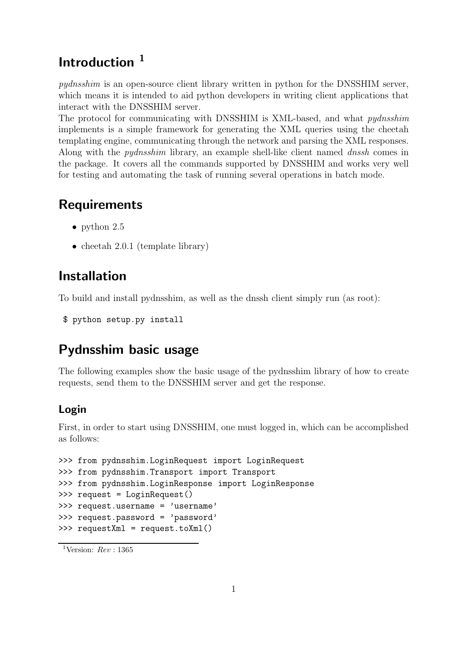# Introduction<sup>1</sup>

pydnsshim is an open-source client library written in python for the DNSSHIM server, which means it is intended to aid python developers in writing client applications that interact with the DNSSHIM server.

The protocol for communicating with DNSSHIM is XML-based, and what pydnsshim implements is a simple framework for generating the XML queries using the cheetah templating engine, communicating through the network and parsing the XML responses. Along with the *pydnsshim* library, an example shell-like client named *dnssh* comes in the package. It covers all the commands supported by DNSSHIM and works very well for testing and automating the task of running several operations in batch mode.

# Requirements

- python 2.5
- cheetah  $2.0.1$  (template library)

# Installation

To build and install pydnsshim, as well as the dnssh client simply run (as root):

```
$ python setup.py install
```
# Pydnsshim basic usage

The following examples show the basic usage of the pydnsshim library of how to create requests, send them to the DNSSHIM server and get the response.

## Login

First, in order to start using DNSSHIM, one must logged in, which can be accomplished as follows:

```
>>> from pydnsshim.LoginRequest import LoginRequest
>>> from pydnsshim.Transport import Transport
>>> from pydnsshim.LoginResponse import LoginResponse
>>> request = LoginRequest()
>>> request.username = 'username'
>>> request.password = 'password'
>>> requestXml = request.toXml()
```
<sup>&</sup>lt;sup>1</sup>Version:  $Rev : 1365$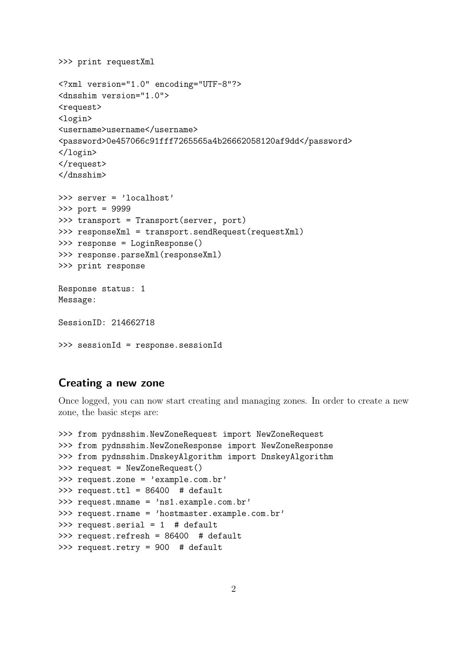```
>>> print requestXml
<?xml version="1.0" encoding="UTF-8"?>
<dnsshim version="1.0">
<request>
<login>
<username>username</username>
<password>0e457066c91fff7265565a4b26662058120af9dd</password>
</login>
\langlerequest>
</dnsshim>
>>> server = 'localhost'
>>> port = 9999
>>> transport = Transport(server, port)
>>> responseXml = transport.sendRequest(requestXml)
>>> response = LoginResponse()
>>> response.parseXml(responseXml)
>>> print response
Response status: 1
Message:
SessionID: 214662718
>>> sessionId = response.sessionId
```
## Creating a new zone

Once logged, you can now start creating and managing zones. In order to create a new zone, the basic steps are:

```
>>> from pydnsshim.NewZoneRequest import NewZoneRequest
>>> from pydnsshim.NewZoneResponse import NewZoneResponse
>>> from pydnsshim.DnskeyAlgorithm import DnskeyAlgorithm
>>> request = NewZoneRequest()
>>> request.zone = 'example.com.br'
>>> request.ttl = 86400 # default
>>> request.mname = 'ns1.example.com.br'
>>> request.rname = 'hostmaster.example.com.br'
>>> request.serial = 1 # default
>>> request.refresh = 86400 # default
>>> request.retry = 900 # default
```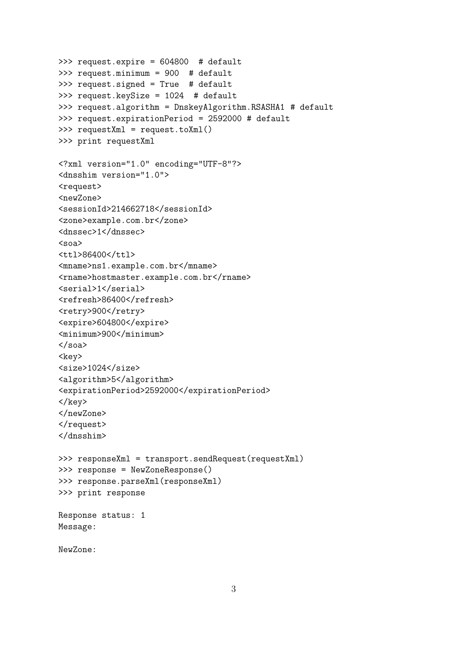```
>>> request.expire = 604800 # default
>>> request.minimum = 900 # default
>>> request.signed = True # default
>>> request.keySize = 1024 # default
>>> request.algorithm = DnskeyAlgorithm.RSASHA1 # default
>>> request.expirationPeriod = 2592000 # default
>>> requestXml = request.toXml()
>>> print requestXml
<?xml version="1.0" encoding="UTF-8"?>
<dnsshim version="1.0">
<request>
<newZone>
<sessionId>214662718</sessionId>
<zone>example.com.br</zone>
<dnssec>1</dnssec>
<soa>
<ttl>86400</ttl>
<mname>ns1.example.com.br</mname>
<rname>hostmaster.example.com.br</rname>
<serial>1</serial>
<refresh>86400</refresh>
<retry>900</retry>
<expire>604800</expire>
<minimum>900</minimum>
\langle/soa\rangle<key>
<size>1024</size>
<algorithm>5</algorithm>
<expirationPeriod>2592000</expirationPeriod>
\langlekey>
</newZone>
\langlerequest>
</dnsshim>
>>> responseXml = transport.sendRequest(requestXml)
>>> response = NewZoneResponse()
>>> response.parseXml(responseXml)
>>> print response
Response status: 1
Message:
NewZone:
```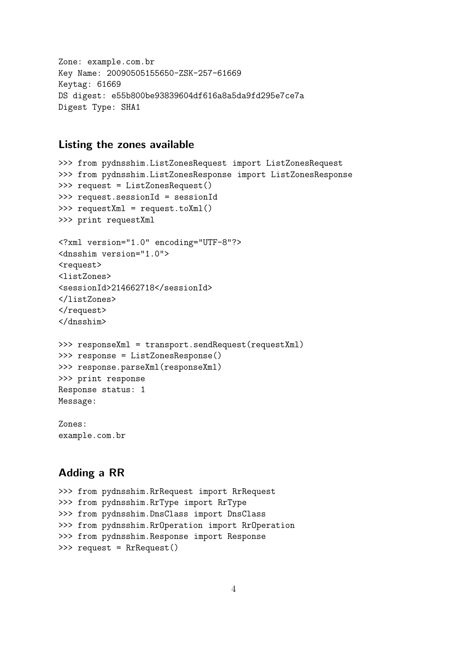Zone: example.com.br Key Name: 20090505155650-ZSK-257-61669 Keytag: 61669 DS digest: e55b800be93839604df616a8a5da9fd295e7ce7a Digest Type: SHA1

## Listing the zones available

```
>>> from pydnsshim.ListZonesRequest import ListZonesRequest
>>> from pydnsshim.ListZonesResponse import ListZonesResponse
>>> request = ListZonesRequest()
>>> request.sessionId = sessionId
>>> requestXml = request.toXml()
>>> print requestXml
<?xml version="1.0" encoding="UTF-8"?>
<dnsshim version="1.0">
<request>
<listZones>
<sessionId>214662718</sessionId>
</listZones>
</request>
</dnsshim>
>>> responseXml = transport.sendRequest(requestXml)
>>> response = ListZonesResponse()
>>> response.parseXml(responseXml)
>>> print response
Response status: 1
Message:
```
Zones: example.com.br

## Adding a RR

>>> from pydnsshim.RrRequest import RrRequest >>> from pydnsshim.RrType import RrType >>> from pydnsshim.DnsClass import DnsClass >>> from pydnsshim.RrOperation import RrOperation >>> from pydnsshim.Response import Response >>> request = RrRequest()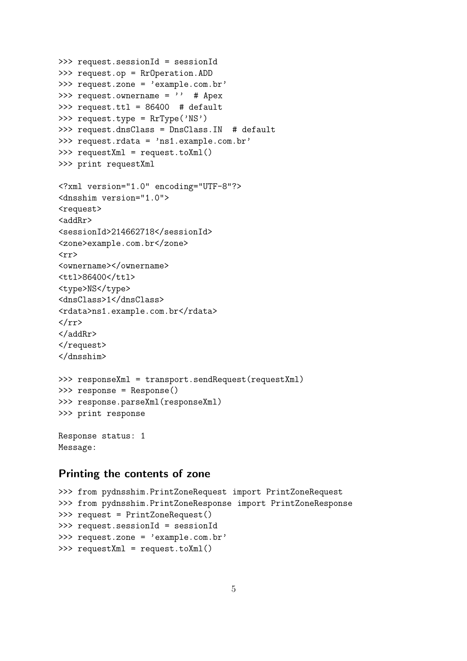```
>>> request.sessionId = sessionId
>>> request.op = RrOperation.ADD
>>> request.zone = 'example.com.br'
>>> request.ownername = '' # Apex
>>> request.ttl = 86400 # default
>>> request.type = RrType('NS')
>>> request.dnsClass = DnsClass.IN # default
>>> request.rdata = 'ns1.example.com.br'
>>> requestXml = request.toXml()
>>> print requestXml
<?xml version="1.0" encoding="UTF-8"?>
<dnsshim version="1.0">
<request>
<addRr>
<sessionId>214662718</sessionId>
<zone>example.com.br</zone>
\langle \text{rr} \rangle<ownername></ownername>
<ttl>86400</ttl>
<type>NS</type>
<dnsClass>1</dnsClass>
<rdata>ns1.example.com.br</rdata>
\langle/rr>
</addRr>
\langlerequest>
</dnsshim>
>>> responseXml = transport.sendRequest(requestXml)
>>> response = Response()
>>> response.parseXml(responseXml)
>>> print response
Response status: 1
Message:
```
## Printing the contents of zone

```
>>> from pydnsshim.PrintZoneRequest import PrintZoneRequest
>>> from pydnsshim.PrintZoneResponse import PrintZoneResponse
>>> request = PrintZoneRequest()
>>> request.sessionId = sessionId
>>> request.zone = 'example.com.br'
>>> requestXml = request.toXml()
```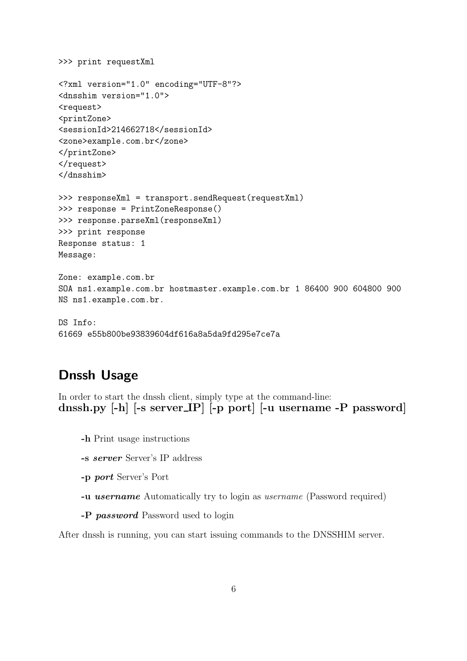```
>>> print requestXml
<?xml version="1.0" encoding="UTF-8"?>
<dnsshim version="1.0">
<request>
<printZone>
<sessionId>214662718</sessionId>
<zone>example.com.br</zone>
</printZone>
\langlerequest>
</dnsshim>
>>> responseXml = transport.sendRequest(requestXml)
>>> response = PrintZoneResponse()
>>> response.parseXml(responseXml)
>>> print response
Response status: 1
Message:
Zone: example.com.br
SOA ns1.example.com.br hostmaster.example.com.br 1 86400 900 604800 900
NS ns1.example.com.br.
DS Info:
```

```
61669 e55b800be93839604df616a8a5da9fd295e7ce7a
```
## Dnssh Usage

In order to start the dnssh client, simply type at the command-line: dnssh.py [-h] [-s server IP] [-p port] [-u username -P password]

- -h Print usage instructions
- -s server Server's IP address
- -p port Server's Port
- -u username Automatically try to login as username (Password required)
- -P password Password used to login

After dnssh is running, you can start issuing commands to the DNSSHIM server.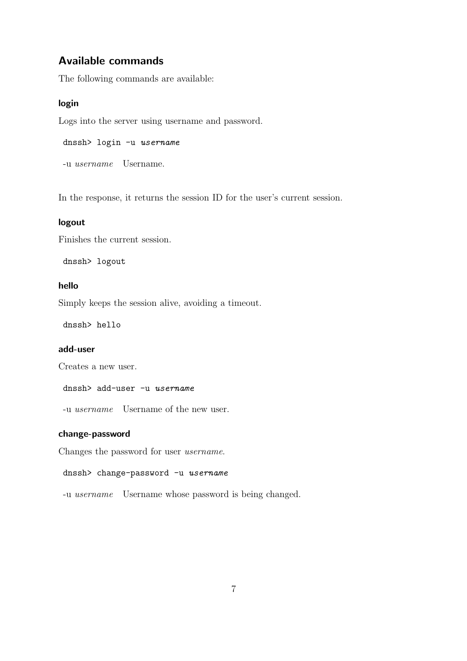## Available commands

The following commands are available:

## login

Logs into the server using username and password.

```
dnssh> login -u username
```
-u username Username.

In the response, it returns the session ID for the user's current session.

## logout

Finishes the current session.

dnssh> logout

## hello

Simply keeps the session alive, avoiding a timeout.

dnssh> hello

## add-user

Creates a new user.

#### dnssh> add-user -u username

-u username Username of the new user.

## change-password

Changes the password for user username.

```
dnssh> change-password -u username
```
-u username Username whose password is being changed.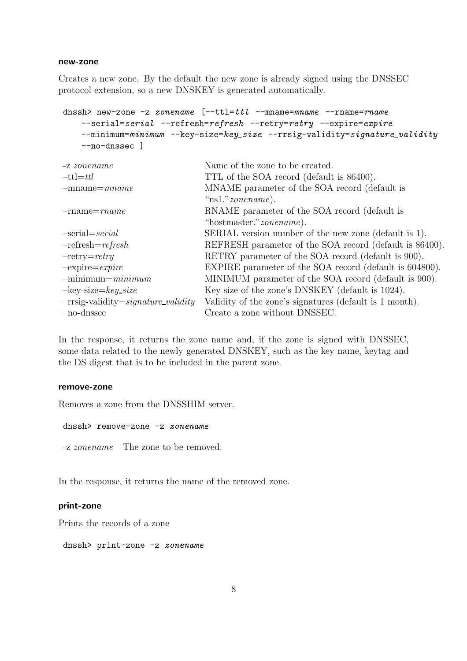#### new-zone

Creates a new zone. By the default the new zone is already signed using the DNSSEC protocol extension, so a new DNSKEY is generated automatically.

```
dnssh> new-zone -z zonename [--ttl=ttl -mname=mname --rname=rname
   --serial=serial --refresh=refresh --retry=retry --expire=expire
   --minimum=minimum --key-size=key_size --rrsig-validity=signature_validity
   --no-dnssec ]
```

| -z zonename                             | Name of the zone to be created.                         |
|-----------------------------------------|---------------------------------------------------------|
| $-tt = ttl$                             | TTL of the SOA record (default is 86400).               |
| $-mname = mname$                        | MNAME parameter of the SOA record (default is           |
|                                         | " $ns1." zonename$ ).                                   |
| $-$ rname $=$ rname                     | RNAME parameter of the SOA record (default is           |
|                                         | "hostmaster." <i>zonename</i> ).                        |
| $-serial = serial$                      | SERIAL version number of the new zone (default is 1).   |
| $-refresh = refresh$                    | REFRESH parameter of the SOA record (default is 86400). |
| $-$ retry $=$ retry                     | RETRY parameter of the SOA record (default is 900).     |
| $-expire = expire$                      | EXPIRE parameter of the SOA record (default is 604800). |
| $-minimum = minimum$                    | MINIMUM parameter of the SOA record (default is 900).   |
| $-$ key-size $=$ key_size               | Key size of the zone's DNSKEY (default is 1024).        |
| $-rrsig-valueity = signature\_validity$ | Validity of the zone's signatures (default is 1 month). |
| $-no$ -dnssec                           | Create a zone without DNSSEC.                           |
|                                         |                                                         |

In the response, it returns the zone name and, if the zone is signed with DNSSEC, some data related to the newly generated DNSKEY, such as the key name, keytag and the DS digest that is to be included in the parent zone.

#### remove-zone

Removes a zone from the DNSSHIM server.

dnssh> remove-zone -z zonename

-z zonename The zone to be removed.

In the response, it returns the name of the removed zone.

## print-zone

Prints the records of a zone

dnssh> print-zone -z zonename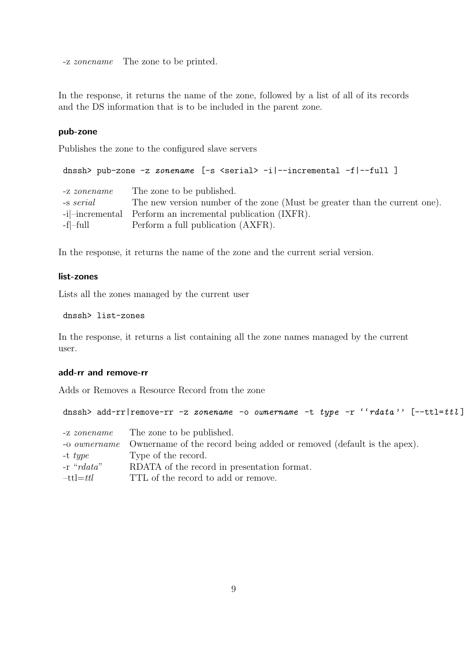-z zonename The zone to be printed.

In the response, it returns the name of the zone, followed by a list of all of its records and the DS information that is to be included in the parent zone.

#### pub-zone

Publishes the zone to the configured slave servers

```
dnssh> pub-zone -z zonename [-s <serial> -i|--incremental -f|--full ]
```

| -z zonename  | The zone to be published.                                                  |
|--------------|----------------------------------------------------------------------------|
| $-$ s serial | The new version number of the zone (Must be greater than the current one). |
|              | $-i$ -incremental Perform an incremental publication (IXFR).               |
| -f -full     | Perform a full publication (AXFR).                                         |

In the response, it returns the name of the zone and the current serial version.

### list-zones

Lists all the zones managed by the current user

```
dnssh> list-zones
```
In the response, it returns a list containing all the zone names managed by the current user.

#### add-rr and remove-rr

Adds or Removes a Resource Record from the zone

```
dnssh> add-rr|remove-rr -z zonename -o ownername -t type -r ''rdata'' [--ttl=ttl]
```

| -z zonename      | The zone to be published.                                                                 |
|------------------|-------------------------------------------------------------------------------------------|
|                  | -o <i>ownername</i> Ownername of the record being added or removed (default is the apex). |
| -t $type$        | Type of the record.                                                                       |
| $-r$ " $rdata$ " | RDATA of the record in presentation format.                                               |
| $-tt = ttl$      | TTL of the record to add or remove.                                                       |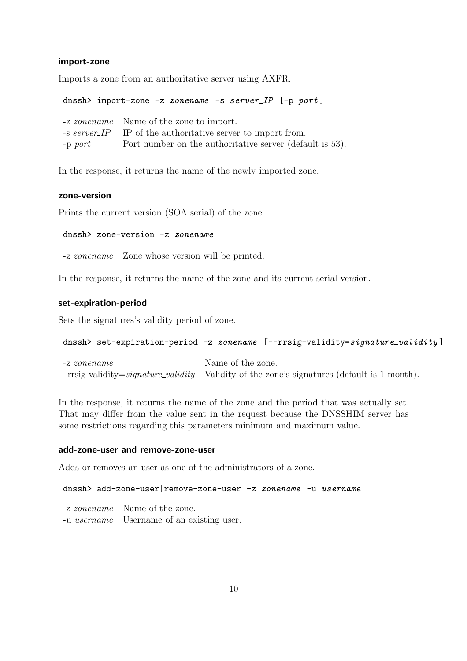#### import-zone

Imports a zone from an authoritative server using AXFR.

dnssh> import-zone -z zonename -s server\_IP [-p port] -z zonename Name of the zone to import. -s server IP IP of the authoritative server to import from. -p port Port number on the authoritative server (default is 53).

In the response, it returns the name of the newly imported zone.

#### zone-version

Prints the current version (SOA serial) of the zone.

dnssh> zone-version -z zonename

-z zonename Zone whose version will be printed.

In the response, it returns the name of the zone and its current serial version.

#### set-expiration-period

Sets the signatures's validity period of zone.

```
dnssh> set-expiration-period -z zonename [--rrsig-validity=signature_validity]
```
-z zonename Name of the zone.  $-rrsig-validation = signature\_validity$  Validity of the zone's signatures (default is 1 month).

In the response, it returns the name of the zone and the period that was actually set. That may differ from the value sent in the request because the DNSSHIM server has some restrictions regarding this parameters minimum and maximum value.

#### add-zone-user and remove-zone-user

Adds or removes an user as one of the administrators of a zone.

dnssh> add-zone-user|remove-zone-user -z zonename -u username

-z zonename Name of the zone.

-u username Username of an existing user.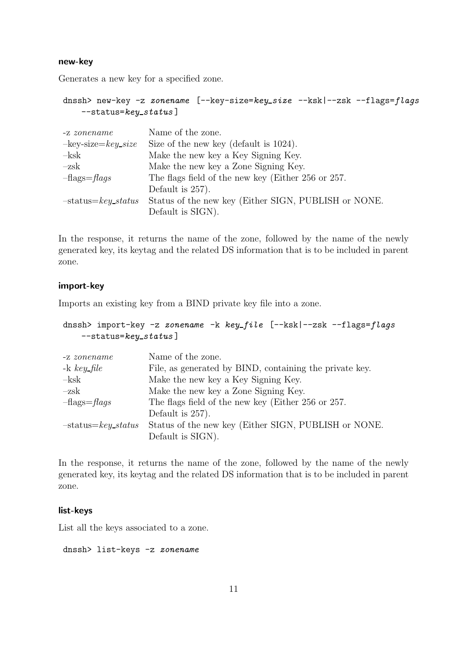#### new-key

Generates a new key for a specified zone.

```
dnssh> new-key -z zonename [--key-size=key_size --ksk|--zsk --flags=flags
   -status=key\_status]
```

| -z zonename                    | Name of the zone.                                    |
|--------------------------------|------------------------------------------------------|
| $-$ key-size $=$ key_size      | Size of the new key (default is 1024).               |
| $-$ ksk                        | Make the new key a Key Signing Key.                  |
| $-zsk$                         | Make the new key a Zone Signing Key.                 |
| $-\text{flags} = \text{flags}$ | The flags field of the new key (Either 256 or 257.   |
|                                | Default is 257).                                     |
| $-status = key\_status$        | Status of the new key (Either SIGN, PUBLISH or NONE. |
|                                | Default is SIGN).                                    |

In the response, it returns the name of the zone, followed by the name of the newly generated key, its keytag and the related DS information that is to be included in parent zone.

#### import-key

Imports an existing key from a BIND private key file into a zone.

```
dnssh> import-key -z zonename -k key_file [--ksk]-zsk -flags=flags-status=key\_status]
```

| -z zonename                    | Name of the zone.                                       |
|--------------------------------|---------------------------------------------------------|
| $-k \ key_{\textit{file}}$     | File, as generated by BIND, containing the private key. |
| $-$ ksk                        | Make the new key a Key Signing Key.                     |
| $-zsk$                         | Make the new key a Zone Signing Key.                    |
| $-\text{flags} = \text{flags}$ | The flags field of the new key (Either 256 or 257.      |
|                                | Default is 257).                                        |
| $-status = key\_status$        | Status of the new key (Either SIGN, PUBLISH or NONE.    |
|                                | Default is SIGN).                                       |

In the response, it returns the name of the zone, followed by the name of the newly generated key, its keytag and the related DS information that is to be included in parent zone.

## list-keys

List all the keys associated to a zone.

dnssh> list-keys -z zonename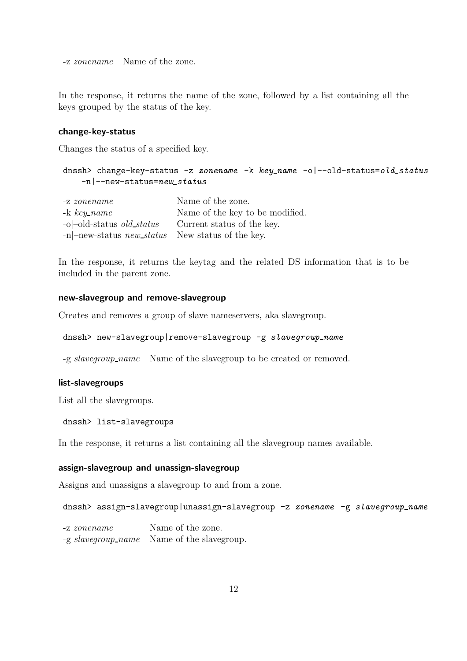-z zonename Name of the zone.

In the response, it returns the name of the zone, followed by a list containing all the keys grouped by the status of the key.

#### change-key-status

Changes the status of a specified key.

## dnssh> change-key-status -z zonename -k key\_name -o|--old-status=old\_status  $-n$ |--new-status=new\_status

| $-z$ zonename                                      | Name of the zone.               |
|----------------------------------------------------|---------------------------------|
| $-k \; key_name$                                   | Name of the key to be modified. |
| $-o$ -old-status <i>old_status</i>                 | Current status of the key.      |
| $-n$ -new-status new status New status of the key. |                                 |

In the response, it returns the keytag and the related DS information that is to be included in the parent zone.

### new-slavegroup and remove-slavegroup

Creates and removes a group of slave nameservers, aka slavegroup.

```
dnssh> new-slavegroup|remove-slavegroup -g slavegroup_name
```
-g slavegroup name Name of the slavegroup to be created or removed.

## list-slavegroups

List all the slavegroups.

```
dnssh> list-slavegroups
```
In the response, it returns a list containing all the slavegroup names available.

### assign-slavegroup and unassign-slavegroup

Assigns and unassigns a slavegroup to and from a zone.

dnssh> assign-slavegroup|unassign-slavegroup -z zonename -g slavegroup\_name

-z zonename Name of the zone. -g slavegroup name Name of the slavegroup.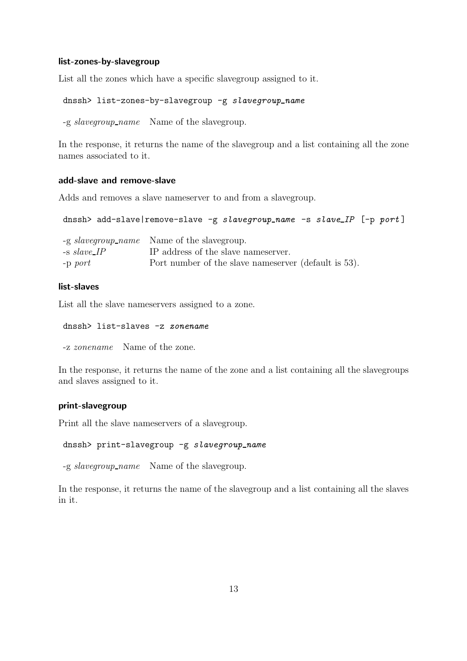#### list-zones-by-slavegroup

List all the zones which have a specific slavegroup assigned to it.

```
dnssh> list-zones-by-slavegroup -g slavegroup_name
```
-g slavegroup name Name of the slavegroup.

In the response, it returns the name of the slavegroup and a list containing all the zone names associated to it.

## add-slave and remove-slave

Adds and removes a slave nameserver to and from a slavegroup.

dnssh> add-slave|remove-slave -g slavegroup\_name -s slave\_IP [-p port]

|                | -g slavegroup_name Name of the slavegroup.            |
|----------------|-------------------------------------------------------|
| $-$ s slave_IP | IP address of the slave names erver.                  |
| $-p$ port      | Port number of the slave names erver (default is 53). |

#### list-slaves

List all the slave nameservers assigned to a zone.

dnssh> list-slaves -z zonename

-z zonename Name of the zone.

In the response, it returns the name of the zone and a list containing all the slavegroups and slaves assigned to it.

#### print-slavegroup

Print all the slave nameservers of a slavegroup.

```
dnssh> print-slavegroup -g slavegroup_name
```
-g slavegroup name Name of the slavegroup.

In the response, it returns the name of the slavegroup and a list containing all the slaves in it.